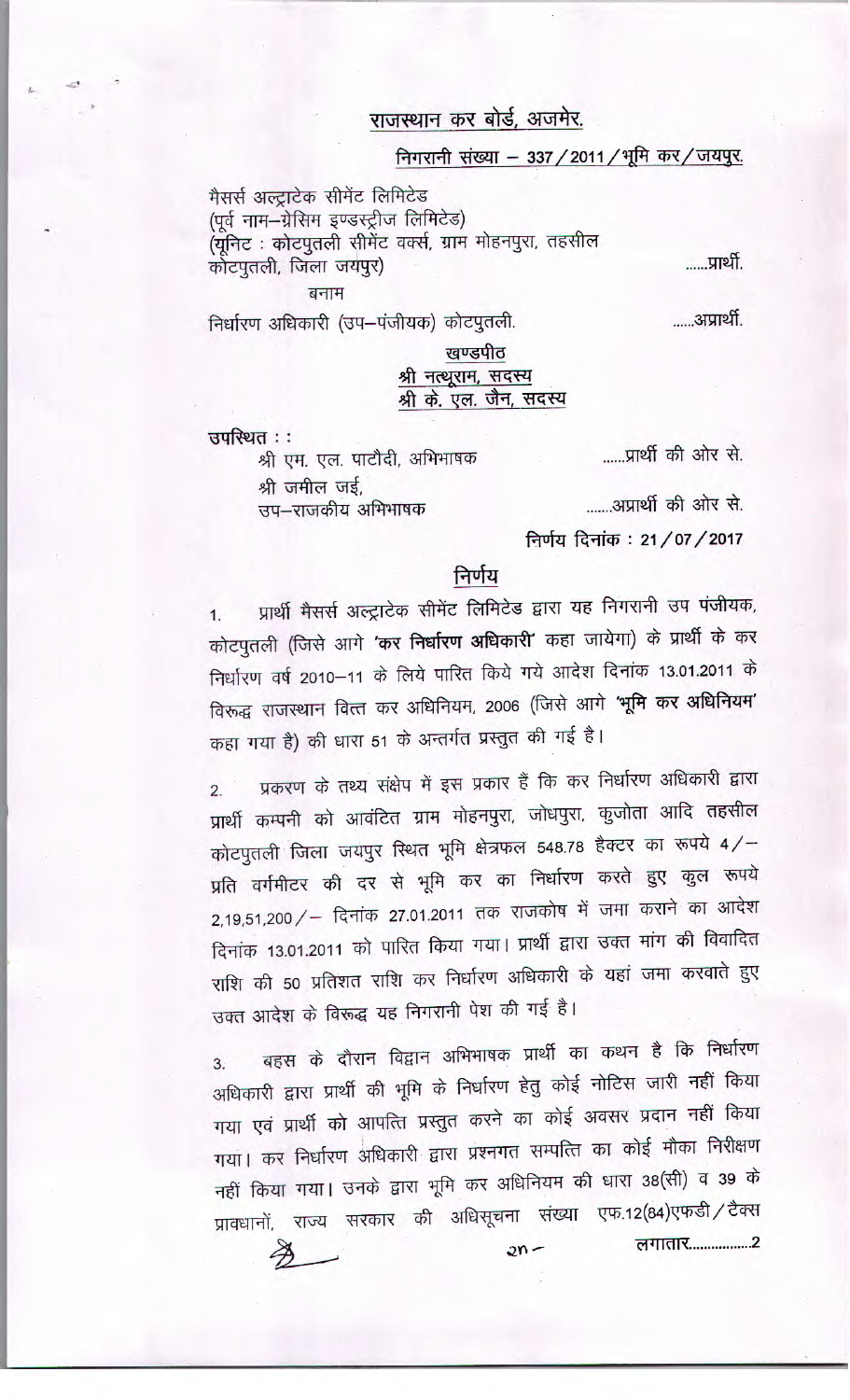## राजस्थान कर बोर्ड, अजमेर.

### निगरानी संख्या – 337 / 2011 / भूमि कर / जयपुर.

मैसर्स अल्ट्राटेक सीमेंट लिमिटेड (पूर्व नाम–ग्रेसिम इण्डस्ट्रीज लिमिटेड) (युनिट : कोटपूतली सीमेंट वर्क्स, ग्राम मोहनपुरा, तहसील कोटपुतली, जिला जयपुर)

बनाम

निर्धारण अधिकारी (उप-पंजीयक) कोटपुतली.

......आप्रार्थी.

 $m_{\rm H}$ प्रार्थी.

# खण्डपीठ श्री नत्थूराम, सदस्य श्री के एल. जैन, सदस्य

उपस्थित ::

......प्रार्थी की ओर से. श्री एम. एल. पाटौदी, अभिभाषक श्री जमील जई. उप–राजकीय अभिभाषक

निर्णय दिनांक: 21/07/2017

## निर्णय

प्रार्थी मैसर्स अल्ट्राटेक सीमेंट लिमिटेड द्वारा यह निगरानी उप पंजीयक,  $1.$ कोटपुतली (जिसे आगे 'कर निर्धारण अधिकारी' कहा जायेगा) के प्रार्थी के कर निर्धारण वर्ष 2010-11 के लिये पारित किये गये आदेश दिनांक 13.01.2011 के विरूद्ध राजस्थान वित्त कर अधिनियम, 2006 (जिसे आगे 'भूमि कर अधिनियम' कहा गया है) की धारा 51 के अन्तर्गत प्रस्तुत की गई है।

प्रकरण के तथ्य संक्षेप में इस प्रकार हैं कि कर निर्धारण अधिकारी द्वारा  $\overline{2}$ . प्रार्थी कम्पनी को आवंटित ग्राम मोहनपुरा, जोधपुरा, कुजोता आदि तहसील कोटपुतली जिला जयपुर रिथत भूमि क्षेत्रफल 548.78 हैक्टर का रूपये 4/-प्रति वर्गमीटर की दर से भूमि कर का निर्धारण करते हुए कुल रूपये 2,19,51,200 / - दिनांक 27.01.2011 तक राजकोष में जमा कराने का आदेश दिनांक 13.01.2011 को पारित किया गया। प्रार्थी द्वारा उक्त मांग की विवादित राशि की 50 प्रतिशत राशि कर निर्धारण अधिकारी के यहां जमा करवाते हुए उक्त आदेश के विरूद्ध यह निगरानी पेश की गई है।

बहस के दौरान विद्वान अभिभाषक प्रार्थी का कथन है कि निर्धारण  $3.$ अधिकारी द्वारा प्रार्थी की भूमि के निर्धारण हेतु कोई नोटिस जारी नहीं किया गया एवं प्रार्थी को आपत्ति प्रस्तुत करने का कोई अवसर प्रदान नहीं किया गया। कर निर्धारण अधिकारी द्वारा प्रश्नगत सम्पत्ति का कोई मौका निरीक्षण नहीं किया गया। उनके द्वारा भूमि कर अधिनियम की धारा 38(सी) व 39 के प्रावधानों, राज्य सरकार की अधिसूचना संख्या एफ.12(84)एफडी / टैक्स 

 $2n -$ 

 $\not\!\!\!E$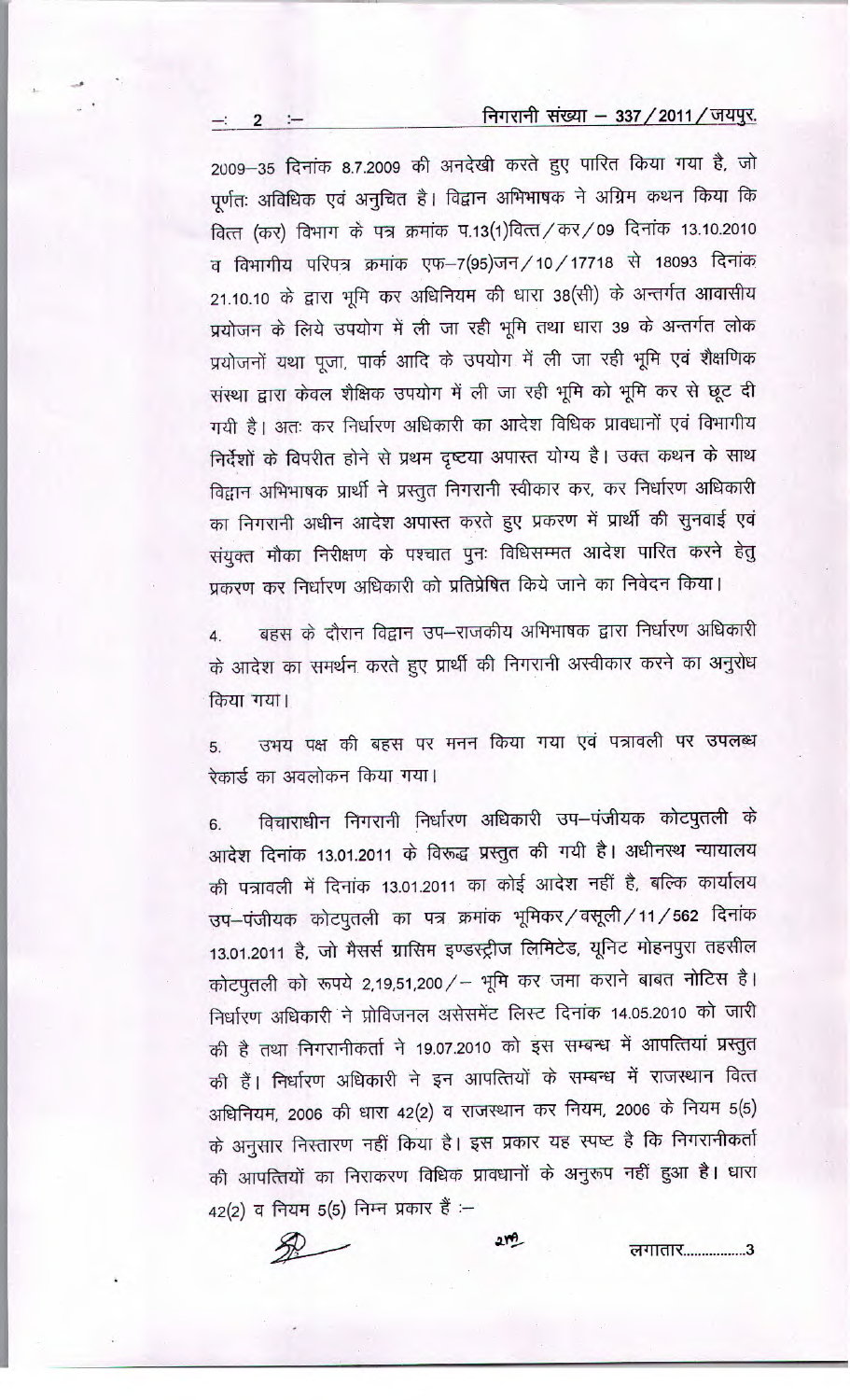## निगरानी संख्या - 337 / 2011 / जयपुर.

2009-35 दिनांक 8.7.2009 की अनदेखी करते हुए पारित किया गया है, जो पूर्णतः अविधिक एवं अनुचित है। विद्वान अभिभाषक ने अग्रिम कथन किया कि वित्त (कर) विभाग के पत्र क्रमांक प.13(1)वित्त/कर/09 दिनांक 13.10.2010 व विभागीय परिपत्र क्रमांक एफ-7(95)जन/10/17718 से 18093 दिनांक 21.10.10 के द्वारा भूमि कर अधिनियम की धारा 38(सी) के अन्तर्गत आवासीय प्रयोजन के लिये उपयोग में ली जा रही भूमि तथा धारा 39 के अन्तर्गत लोक प्रयोजनों यथा पूजा, पार्क आदि के उपयोग में ली जा रही भूमि एवं शैक्षणिक संस्था द्वारा केवल शैक्षिक उपयोग में ली जा रही भूमि को भूमि कर से छूट दी गयी है। अतः कर निर्धारण अधिकारी का आदेश विधिक प्रावधानों एवं विभागीय निर्देशों के विपरीत होने से प्रथम दृष्टया अपास्त योग्य है। उक्त कथन के साथ विद्वान अभिभाषक प्रार्थी ने प्रस्तुत निगरानी स्वीकार कर, कर निर्धारण अधिकारी का निगरानी अधीन आदेश अपास्त करते हुए प्रकरण में प्रार्थी की सुनवाई एवं संयुक्त मौका निरीक्षण के पश्चात पुनः विधिसम्मत आदेश पारित करने हेतु प्रकरण कर निर्धारण अधिकारी को प्रतिप्रेषित किये जाने का निवेदन किया।

बहस के दौरान विद्वान उप–राजकीय अभिभाषक द्वारा निर्धारण अधिकारी के आदेश का समर्थन करते हुए प्रार्थी की निगरानी अस्वीकार करने का अनुरोध किया गया।

उभय पक्ष की बहस पर मनन किया गया एवं पत्रावली पर उपलब्ध 5. रेकार्ड का अवलोकन किया गया।

विचाराधीन निगरानी निर्धारण अधिकारी उप-पंजीयक कोटपुतली के 6. आदेश दिनांक 13.01.2011 के विरूद्ध प्रस्तुत की गयी है। अधीनस्थ न्यायालय की पत्रावली में दिनांक 13.01.2011 का कोई आदेश नहीं है, बल्कि कार्यालय उप-पंजीयक कोटपुतली का पत्र क्रमांक भूमिकर / वसूली / 11 / 562 दिनांक 13.01.2011 है, जो मैसर्स ग्रासिम इण्डस्ट्रीज लिमिटेड, यूनिट मोहनपुरा तहसील कोटपुतली को रूपये 2,19,51,200 / - भूमि कर जमा कराने बाबत नोटिस है। निर्धारण अधिकारी ने प्रोविजनल असेसमेंट लिस्ट दिनांक 14.05.2010 को जारी की है तथा निगरानीकर्ता ने 19.07.2010 को इस सम्बन्ध में आपत्तियां प्रस्तुत की हैं। निर्धारण अधिकारी ने इन आपत्तियों के सम्बन्ध में राजस्थान वित्त अधिनियम, 2006 की धारा 42(2) व राजस्थान कर नियम, 2006 के नियम 5(5) के अनुसार निस्तारण नहीं किया है। इस प्रकार यह स्पष्ट है कि निगरानीकर्ता की आपत्तियों का निराकरण विधिक प्रावधानों के अनुरूप नहीं हुआ है। धारा 42(2) व नियम 5(5) निम्न प्रकार हैं :-

 $2n$ 

लगातार....................3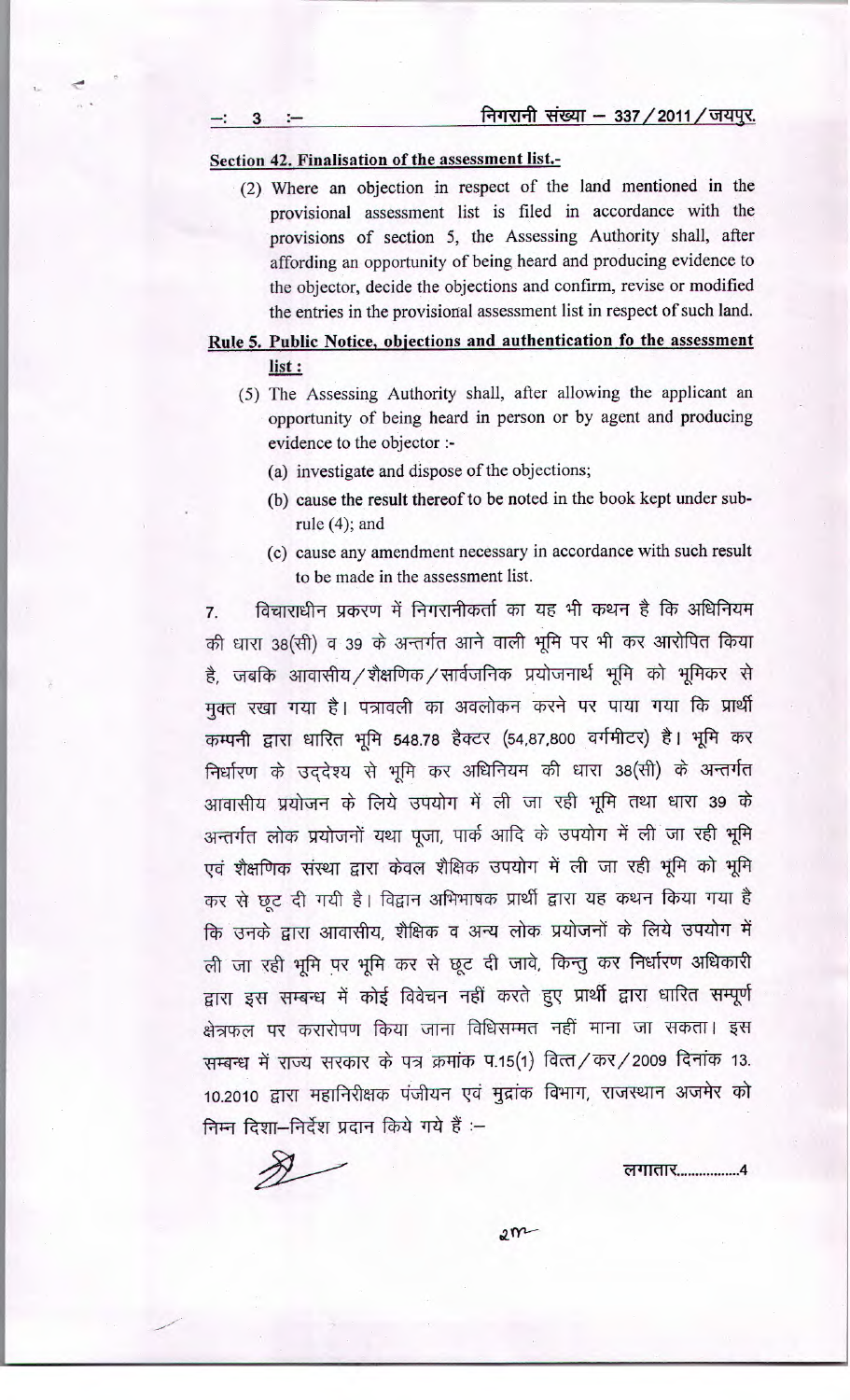#### Section 42. Finalisation of the assessment list.-

(2) Where an objection in respect of the land mentioned in the provisional assessment list is filed in accordance with the provisions of section 5, the Assessing Authority shall, after affording an opportunity of being heard and producing evidence to the objector, decide the objections and confirm, revise or modified the entries in the provisional assessment list in respect of such land.

# Rule 5. Public Notice, objections and authentication fo the assessment list :

- (5) The Assessing Authority shall, after allowing the applicant an opportunity of being heard in person or by agent and producing evidence to the objector :-
	- (a) investigate and dispose of the objections;
	- (b) cause the result thereof to be noted in the book kept under subrule  $(4)$ ; and
	- (c) cause any amendment necessary in accordance with such result to be made in the assessment list.

विचाराधीन प्रकरण में निगरानीकर्ता का यह भी कथन है कि अधिनियम  $\overline{7}$ . की धारा 38(सी) व 39 के अन्तर्गत आने वाली भूमि पर भी कर आरोपित किया है, जबकि आवासीय / शैक्षणिक / सार्वजनिक प्रयोजनार्थ भूमि को भूमिकर से मुक्त रखा गया है। पत्रावली का अवलोकन करने पर पाया गया कि प्रार्थी कम्पनी द्वारा धारित भूमि 548.78 हैक्टर (54,87,800 वर्गमीटर) है। भूमि कर निर्धारण के उद्देश्य से भूमि कर अधिनियम की धारा 38(सी) के अन्तर्गत आवासीय प्रयोजन के लिये उपयोग में ली जा रही भूमि तथा धारा 39 के अन्तर्गत लोक प्रयोजनों यथा पूजा, पार्क आदि के उपयोग में ली जा रही भूमि एवं शैक्षणिक संस्था द्वारा केवल शैक्षिक उपयोग में ली जा रही भूमि को भूमि कर से छूट दी गयी है। विद्वान अभिभाषक प्रार्थी द्वारा यह कथन किया गया है कि उनके द्वारा आवासीय, शैक्षिक व अन्य लोक प्रयोजनों के लिये उपयोग में ली जा रही भूमि पर भूमि कर से छूट दी जावे, किन्तु कर निर्धारण अधिकारी द्वारा इस सम्बन्ध में कोई विवेचन नहीं करते हुए प्रार्थी द्वारा धारित सम्पूर्ण क्षेत्रफल पर करारोपण किया जाना विधिसम्मत नहीं माना जा सकता। इस सम्बन्ध में राज्य सरकार के पत्र क्रमांक प.15(1) वित्त/कर/2009 दिनांक 13. 10.2010 द्वारा महानिरीक्षक पंजीयन एवं मुद्रांक विभाग, राजस्थान अजमेर को निम्न दिशा-निर्देश प्रदान किये गये हैं :-

लगातार....................4

 $2m$ 

 $\mathbf{3}$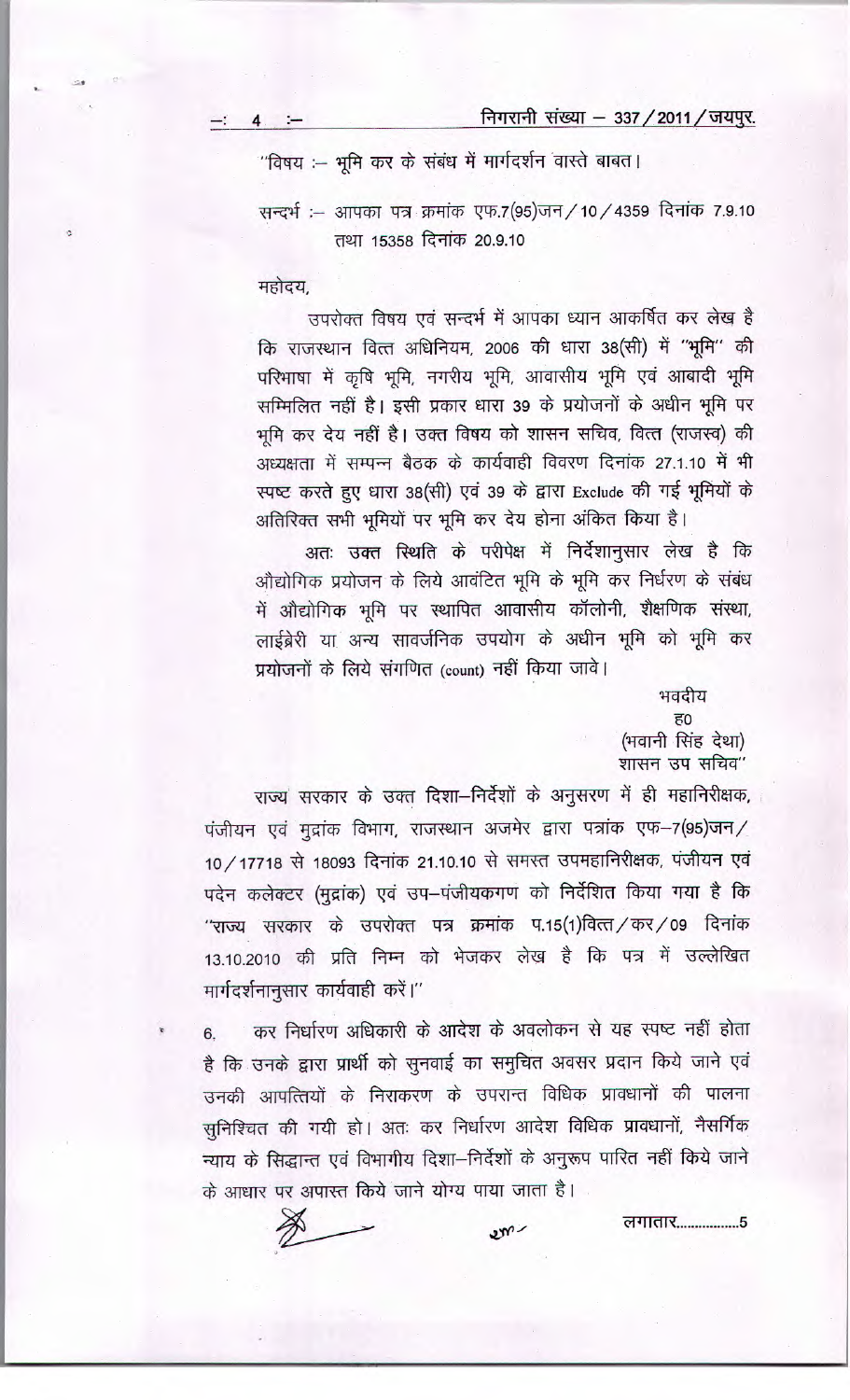"विषय :– भूमि कर के संबंध में मार्गदर्शन वास्ते बाबत।

सन्दर्भ :- आपका पत्र क्रमांक एफ.7(95)जन / 10 / 4359 दिनांक 7.9.10 तथा 15358 दिनांक 20.9.10

महोदय,

उपरोक्त विषय एवं सन्दर्भ में आपका ध्यान आकर्षित कर लेख है कि राजस्थान वित्त अधिनियम, 2006 की धारा 38(सी) में "भूमि" की परिभाषा में कृषि भूमि, नगरीय भूमि, आवासीय भूमि एवं आबादी भूमि सम्मिलित नहीं है। इसी प्रकार धारा 39 के प्रयोजनों के अधीन भूमि पर भूमि कर देय नहीं है। उक्त विषय को शासन सचिव, वित्त (राजस्व) की अध्यक्षता में सम्पन्न बैठक के कार्यवाही विवरण दिनांक 27.1.10 में भी स्पष्ट करते हुए धारा 38(सी) एवं 39 के द्वारा Exclude की गई भूमियों के अतिरिक्त सभी भूमियों पर भूमि कर देय होना अंकित किया है।

अतः उक्त स्थिति के परीपेक्ष में निर्देशानुसार लेख है कि औद्योगिक प्रयोजन के लिये आवंटित भूमि के भूमि कर निर्धरण के संबंध में औद्योगिक भूमि पर स्थापित आवासीय कॉलोनी, शैक्षणिक संस्था, लाईब्रेरी या अन्य सावर्जनिक उपयोग के अधीन भूमि को भूमि कर प्रयोजनों के लिये संगणित (count) नहीं किया जावे।

> भवदीय  $\overline{50}$ (भवानी सिंह देथा) शासन उप सचिव"

राज्य सरकार के उक्त दिशा-निर्देशों के अनुसरण में ही महानिरीक्षक, पंजीयन एवं मुद्रांक विभाग, राजस्थान अजमेर द्वारा पत्रांक एफ-7(95)जन/ 10 / 17718 से 18093 दिनांक 21.10.10 से समस्त उपमहानिरीक्षक, पंजीयन एवं पदेन कलेक्टर (मुद्रांक) एवं उप-पंजीयकगण को निर्देशित किया गया है कि "राज्य सरकार के उपरोक्त पत्र क्रमांक प.15(1)वित्त/कर/09 दिनांक 13.10.2010 की प्रति निम्न को भेजकर लेख है कि पत्र में उल्लेखित मार्गदर्शनानुसार कार्यवाही करें।''

कर निर्धारण अधिकारी के आदेश के अवलोकन से यह स्पष्ट नहीं होता 6. है कि उनके द्वारा प्रार्थी को सूनवाई का समुचित अवसर प्रदान किये जाने एवं उनकी आपत्तियों के निराकरण के उपरान्त विधिक प्रावधानों की पालना सुनिश्चित की गयी हो। अतः कर निर्धारण आदेश विधिक प्रावधानों, नैसर्गिक न्याय के सिद्धान्त एवं विभागीय दिशा-निर्देशों के अनुरूप पारित नहीं किये जाने के आधार पर अपास्त किये जाने योग्य पाया जाता है।

 $2m<sup>2</sup>$ 

लगातार...................5